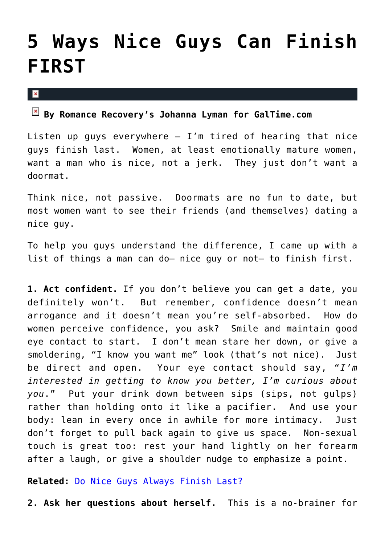## **[5 Ways Nice Guys Can Finish](https://cupidspulse.com/26017/5-ways-nice-guys-finish-first-galtime/) [FIRST](https://cupidspulse.com/26017/5-ways-nice-guys-finish-first-galtime/)**

 $\mathbf{x}$ 

## **By Romance Recovery's Johanna Lyman for GalTime.com**

Listen up guys everywhere  $-$  I'm tired of hearing that nice guys finish last. Women, at least emotionally mature women, want a man who is nice, not a jerk. They just don't want a doormat.

Think nice, not passive. Doormats are no fun to date, but most women want to see their friends (and themselves) dating a nice guy.

To help you guys understand the difference, I came up with a list of things a man can do– nice guy or not– to finish first.

**1. Act confident.** If you don't believe you can get a date, you definitely won't. But remember, confidence doesn't mean arrogance and it doesn't mean you're self-absorbed. How do women perceive confidence, you ask? Smile and maintain good eye contact to start. I don't mean stare her down, or give a smoldering, "I know you want me" look (that's not nice). Just be direct and open. Your eye contact should say, "*I'm interested in getting to know you better, I'm curious about you*." Put your drink down between sips (sips, not gulps) rather than holding onto it like a pacifier. And use your body: lean in every once in awhile for more intimacy. Just don't forget to pull back again to give us space. Non-sexual touch is great too: rest your hand lightly on her forearm after a laugh, or give a shoulder nudge to emphasize a point.

**Related:** [Do Nice Guys Always Finish Last?](http://galtime.com)

**2. Ask her questions about herself.** This is a no-brainer for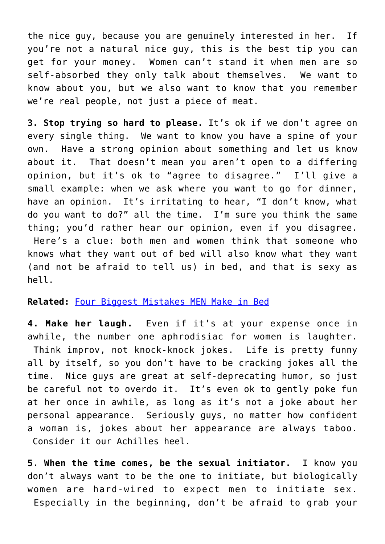the nice guy, because you are genuinely interested in her. If you're not a natural nice guy, this is the best tip you can get for your money. Women can't stand it when men are so self-absorbed they only talk about themselves. We want to know about you, but we also want to know that you remember we're real people, not just a piece of meat.

**3. Stop trying so hard to please.** It's ok if we don't agree on every single thing. We want to know you have a spine of your own. Have a strong opinion about something and let us know about it. That doesn't mean you aren't open to a differing opinion, but it's ok to "agree to disagree." I'll give a small example: when we ask where you want to go for dinner, have an opinion. It's irritating to hear, "I don't know, what do you want to do?" all the time. I'm sure you think the same thing; you'd rather hear our opinion, even if you disagree. Here's a clue: both men and women think that someone who knows what they want out of bed will also know what they want (and not be afraid to tell us) in bed, and that is sexy as hell.

## **Related:** [Four Biggest Mistakes MEN Make in Bed](http://galtime.com)

**4. Make her laugh.** Even if it's at your expense once in awhile, the number one aphrodisiac for women is laughter. Think improv, not knock-knock jokes. Life is pretty funny all by itself, so you don't have to be cracking jokes all the time. Nice guys are great at self-deprecating humor, so just be careful not to overdo it. It's even ok to gently poke fun at her once in awhile, as long as it's not a joke about her personal appearance. Seriously guys, no matter how confident a woman is, jokes about her appearance are always taboo. Consider it our Achilles heel.

**5. When the time comes, be the sexual initiator.** I know you don't always want to be the one to initiate, but biologically women are hard-wired to expect men to initiate sex. Especially in the beginning, don't be afraid to grab your